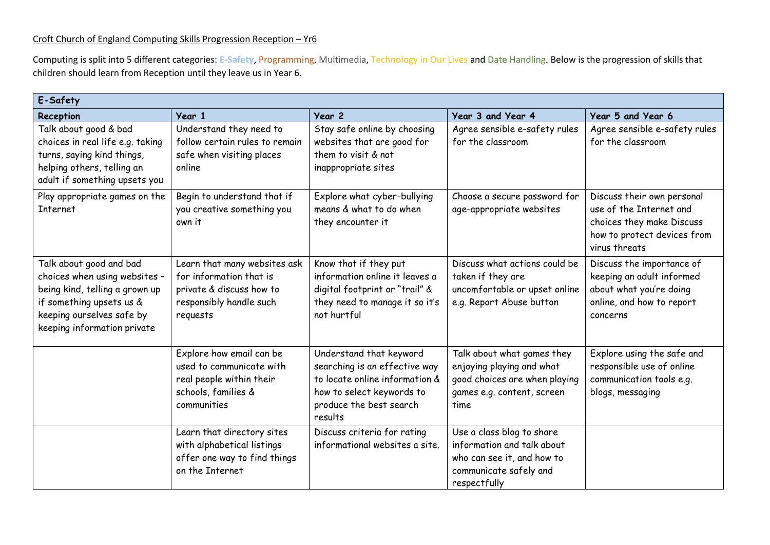## Croft Church of England Computing Skills Progression Reception – Yr6

Computing is split into 5 different categories: **E-Safety**, Programming, Multimedia, Technology in Our Lives and Date Handling. Below is the progression of skills that children should learn from Reception until they leave us in Year 6.

| E-Safety                                                                                                                                                                           |                                                                                                                            |                                                                                                                                                               |                                                                                                                                 |                                                                                                                                    |
|------------------------------------------------------------------------------------------------------------------------------------------------------------------------------------|----------------------------------------------------------------------------------------------------------------------------|---------------------------------------------------------------------------------------------------------------------------------------------------------------|---------------------------------------------------------------------------------------------------------------------------------|------------------------------------------------------------------------------------------------------------------------------------|
| Reception                                                                                                                                                                          | Year 1                                                                                                                     | Year 2                                                                                                                                                        | Year 3 and Year 4                                                                                                               | Year 5 and Year 6                                                                                                                  |
| Talk about good & bad<br>choices in real life e.g. taking<br>turns, saying kind things,<br>helping others, telling an<br>adult if something upsets you                             | Understand they need to<br>follow certain rules to remain<br>safe when visiting places<br>online                           | Stay safe online by choosing<br>websites that are good for<br>them to visit & not<br>inappropriate sites                                                      | Agree sensible e-safety rules<br>for the classroom                                                                              | Agree sensible e-safety rules<br>for the classroom                                                                                 |
| Play appropriate games on the<br><b>Internet</b>                                                                                                                                   | Begin to understand that if<br>you creative something you<br>own it                                                        | Explore what cyber-bullying<br>means & what to do when<br>they encounter it                                                                                   | Choose a secure password for<br>age-appropriate websites                                                                        | Discuss their own personal<br>use of the Internet and<br>choices they make Discuss<br>how to protect devices from<br>virus threats |
| Talk about good and bad<br>choices when using websites -<br>being kind, telling a grown up<br>if something upsets us &<br>keeping ourselves safe by<br>keeping information private | Learn that many websites ask<br>for information that is<br>private & discuss how to<br>responsibly handle such<br>requests | Know that if they put<br>information online it leaves a<br>digital footprint or "trail" &<br>they need to manage it so it's<br>not hurtful                    | Discuss what actions could be<br>taken if they are<br>uncomfortable or upset online<br>e.g. Report Abuse button                 | Discuss the importance of<br>keeping an adult informed<br>about what you're doing<br>online, and how to report<br>concerns         |
|                                                                                                                                                                                    | Explore how email can be<br>used to communicate with<br>real people within their<br>schools, families &<br>communities     | Understand that keyword<br>searching is an effective way<br>to locate online information &<br>how to select keywords to<br>produce the best search<br>results | Talk about what games they<br>enjoying playing and what<br>good choices are when playing<br>games e.g. content, screen<br>time  | Explore using the safe and<br>responsible use of online<br>communication tools e.g.<br>blogs, messaging                            |
|                                                                                                                                                                                    | Learn that directory sites<br>with alphabetical listings<br>offer one way to find things<br>on the Internet                | Discuss criteria for rating<br>informational websites a site.                                                                                                 | Use a class blog to share<br>information and talk about<br>who can see it, and how to<br>communicate safely and<br>respectfully |                                                                                                                                    |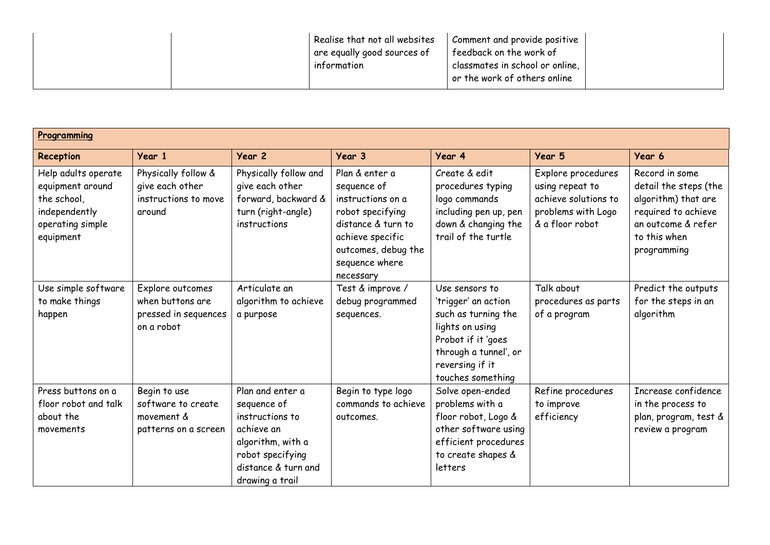|--|

| Programming                                                                                              |                                                                            |                                                                                                                                                     |                                                                                                                                                                        |                                                                                                                                                                        |                                                                                                        |                                                                                                                                            |
|----------------------------------------------------------------------------------------------------------|----------------------------------------------------------------------------|-----------------------------------------------------------------------------------------------------------------------------------------------------|------------------------------------------------------------------------------------------------------------------------------------------------------------------------|------------------------------------------------------------------------------------------------------------------------------------------------------------------------|--------------------------------------------------------------------------------------------------------|--------------------------------------------------------------------------------------------------------------------------------------------|
| Reception                                                                                                | Year 1                                                                     | Year 2                                                                                                                                              | Year 3                                                                                                                                                                 | Year 4                                                                                                                                                                 | Year 5                                                                                                 | Year 6                                                                                                                                     |
| Help adults operate<br>equipment around<br>the school,<br>independently<br>operating simple<br>equipment | Physically follow &<br>give each other<br>instructions to move<br>around   | Physically follow and<br>give each other<br>forward, backward &<br>turn (right-angle)<br>instructions                                               | Plan & enter a<br>sequence of<br>instructions on a<br>robot specifying<br>distance & turn to<br>achieve specific<br>outcomes, debug the<br>sequence where<br>necessary | Create & edit<br>procedures typing<br>logo commands<br>including pen up, pen<br>down & changing the<br>trail of the turtle                                             | Explore procedures<br>using repeat to<br>achieve solutions to<br>problems with Logo<br>& a floor robot | Record in some<br>detail the steps (the<br>algorithm) that are<br>required to achieve<br>an outcome & refer<br>to this when<br>programming |
| Use simple software<br>to make things<br>happen                                                          | Explore outcomes<br>when buttons are<br>pressed in sequences<br>on a robot | Articulate an<br>algorithm to achieve<br>a purpose                                                                                                  | Test & improve /<br>debug programmed<br>sequences.                                                                                                                     | Use sensors to<br>'trigger' an action<br>such as turning the<br>lights on using<br>Probot if it 'goes<br>through a tunnel', or<br>reversing if it<br>touches something | Talk about<br>procedures as parts<br>of a program                                                      | Predict the outputs<br>for the steps in an<br>algorithm                                                                                    |
| Press buttons on a<br>floor robot and talk<br>about the<br>movements                                     | Begin to use<br>software to create<br>movement &<br>patterns on a screen   | Plan and enter a<br>sequence of<br>instructions to<br>achieve an<br>algorithm, with a<br>robot specifying<br>distance & turn and<br>drawing a trail | Begin to type logo<br>commands to achieve<br>outcomes.                                                                                                                 | Solve open-ended<br>problems with a<br>floor robot, Logo &<br>other software using<br>efficient procedures<br>to create shapes &<br>letters                            | Refine procedures<br>to improve<br>efficiency                                                          | Increase confidence<br>in the process to<br>plan, program, test &<br>review a program                                                      |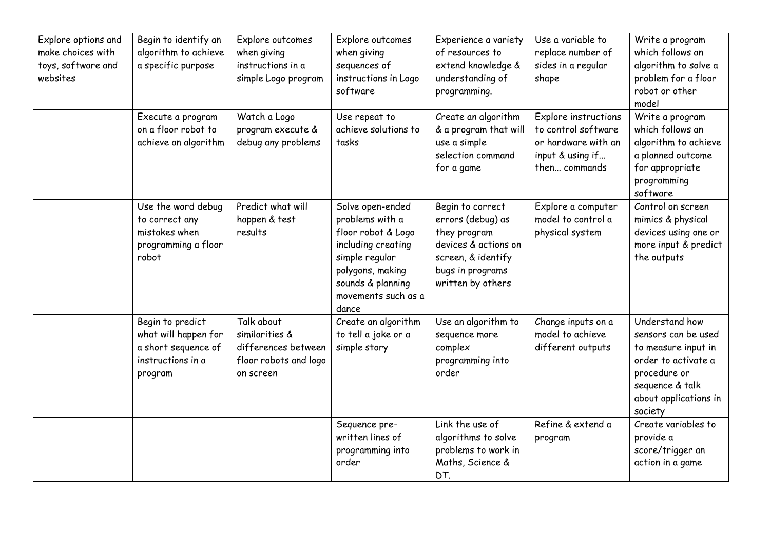| Explore options and<br>make choices with<br>toys, software and<br>websites | Begin to identify an<br>algorithm to achieve<br>a specific purpose                              | Explore outcomes<br>when giving<br>instructions in a<br>simple Logo program               | Explore outcomes<br>when giving<br>sequences of<br>instructions in Logo<br>software                                                                                        | Experience a variety<br>of resources to<br>extend knowledge &<br>understanding of<br>programming.                                            | Use a variable to<br>replace number of<br>sides in a regular<br>shape                                   | Write a program<br>which follows an<br>algorithm to solve a<br>problem for a floor<br>robot or other<br>model                                              |
|----------------------------------------------------------------------------|-------------------------------------------------------------------------------------------------|-------------------------------------------------------------------------------------------|----------------------------------------------------------------------------------------------------------------------------------------------------------------------------|----------------------------------------------------------------------------------------------------------------------------------------------|---------------------------------------------------------------------------------------------------------|------------------------------------------------------------------------------------------------------------------------------------------------------------|
|                                                                            | Execute a program<br>on a floor robot to<br>achieve an algorithm                                | Watch a Logo<br>program execute &<br>debug any problems                                   | Use repeat to<br>achieve solutions to<br>tasks                                                                                                                             | Create an algorithm<br>& a program that will<br>use a simple<br>selection command<br>for a game                                              | Explore instructions<br>to control software<br>or hardware with an<br>input & using if<br>then commands | Write a program<br>which follows an<br>algorithm to achieve<br>a planned outcome<br>for appropriate<br>programming<br>software                             |
|                                                                            | Use the word debug<br>to correct any<br>mistakes when<br>programming a floor<br>robot           | Predict what will<br>happen & test<br>results                                             | Solve open-ended<br>problems with a<br>floor robot & Logo<br>including creating<br>simple regular<br>polygons, making<br>sounds & planning<br>movements such as a<br>dance | Begin to correct<br>errors (debug) as<br>they program<br>devices & actions on<br>screen, & identify<br>bugs in programs<br>written by others | Explore a computer<br>model to control a<br>physical system                                             | Control on screen<br>mimics & physical<br>devices using one or<br>more input & predict<br>the outputs                                                      |
|                                                                            | Begin to predict<br>what will happen for<br>a short sequence of<br>instructions in a<br>program | Talk about<br>similarities &<br>differences between<br>floor robots and logo<br>on screen | Create an algorithm<br>to tell a joke or a<br>simple story                                                                                                                 | Use an algorithm to<br>sequence more<br>complex<br>programming into<br>order                                                                 | Change inputs on a<br>model to achieve<br>different outputs                                             | Understand how<br>sensors can be used<br>to measure input in<br>order to activate a<br>procedure or<br>sequence & talk<br>about applications in<br>society |
|                                                                            |                                                                                                 |                                                                                           | Sequence pre-<br>written lines of<br>programming into<br>order                                                                                                             | Link the use of<br>algorithms to solve<br>problems to work in<br>Maths, Science &<br>DT.                                                     | Refine & extend a<br>program                                                                            | Create variables to<br>provide a<br>score/trigger an<br>action in a game                                                                                   |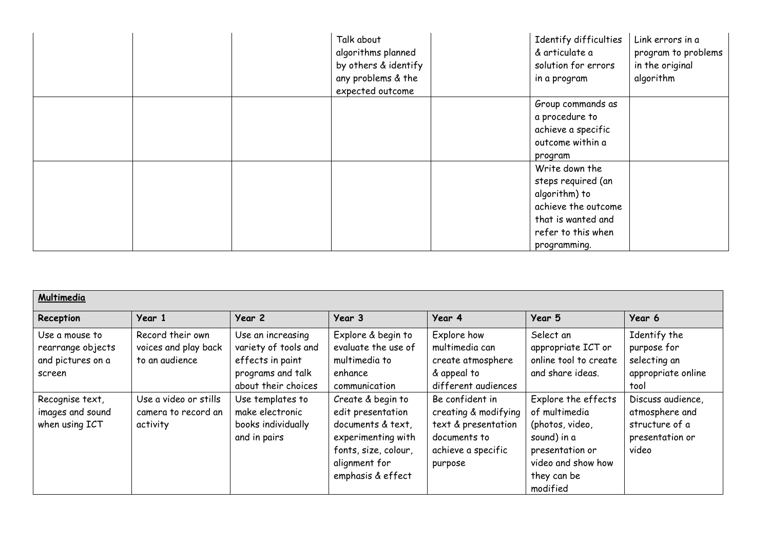|  | Talk about<br>algorithms planned<br>by others & identify<br>any problems & the<br>expected outcome | Identify difficulties<br>& articulate a<br>solution for errors<br>in a program                                                           | Link errors in a<br>program to problems<br>in the original<br>algorithm |
|--|----------------------------------------------------------------------------------------------------|------------------------------------------------------------------------------------------------------------------------------------------|-------------------------------------------------------------------------|
|  |                                                                                                    | Group commands as<br>a procedure to<br>achieve a specific<br>outcome within a<br>program                                                 |                                                                         |
|  |                                                                                                    | Write down the<br>steps required (an<br>algorithm) to<br>achieve the outcome<br>that is wanted and<br>refer to this when<br>programming. |                                                                         |

| Multimedia                                                         |                                                            |                                                                                                           |                                                                                                                                                 |                                                                                                                 |                                                                                                                                            |                                                                                   |  |
|--------------------------------------------------------------------|------------------------------------------------------------|-----------------------------------------------------------------------------------------------------------|-------------------------------------------------------------------------------------------------------------------------------------------------|-----------------------------------------------------------------------------------------------------------------|--------------------------------------------------------------------------------------------------------------------------------------------|-----------------------------------------------------------------------------------|--|
| Reception                                                          | Year 1                                                     | Year 2                                                                                                    | Year 3                                                                                                                                          | Year 4                                                                                                          | Year 5                                                                                                                                     | Year 6                                                                            |  |
| Use a mouse to<br>rearrange objects<br>and pictures on a<br>screen | Record their own<br>voices and play back<br>to an audience | Use an increasing<br>variety of tools and<br>effects in paint<br>programs and talk<br>about their choices | Explore & begin to<br>evaluate the use of<br>multimedia to<br>enhance<br>communication                                                          | Explore how<br>multimedia can<br>create atmosphere<br>& appeal to<br>different audiences                        | Select an<br>appropriate ICT or<br>online tool to create<br>and share ideas.                                                               | Identify the<br>purpose for<br>selecting an<br>appropriate online<br>tool         |  |
| Recognise text,<br>images and sound<br>when using ICT              | Use a video or stills<br>camera to record an<br>activity   | Use templates to<br>make electronic<br>books individually<br>and in pairs                                 | Create & begin to<br>edit presentation<br>documents & text,<br>experimenting with<br>fonts, size, colour,<br>alignment for<br>emphasis & effect | Be confident in<br>creating & modifying<br>text & presentation<br>documents to<br>achieve a specific<br>purpose | Explore the effects<br>of multimedia<br>(photos, video,<br>sound) in a<br>presentation or<br>video and show how<br>they can be<br>modified | Discuss audience,<br>atmosphere and<br>structure of a<br>presentation or<br>video |  |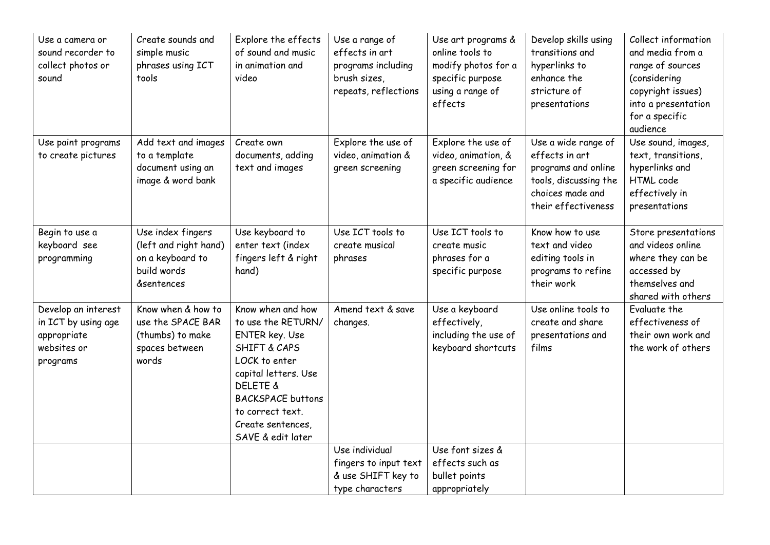| Use a camera or<br>sound recorder to<br>collect photos or<br>sound                   | Create sounds and<br>simple music<br>phrases using ICT<br>tools                                        | Explore the effects<br>of sound and music<br>in animation and<br>video                                                                                                                                                                                | Use a range of<br>effects in art<br>programs including<br>brush sizes,<br>repeats, reflections | Use art programs &<br>online tools to<br>modify photos for a<br>specific purpose<br>using a range of<br>effects | Develop skills using<br>transitions and<br>hyperlinks to<br>enhance the<br>stricture of<br>presentations                         | Collect information<br>and media from a<br>range of sources<br>(considering<br>copyright issues)<br>into a presentation<br>for a specific<br>audience |
|--------------------------------------------------------------------------------------|--------------------------------------------------------------------------------------------------------|-------------------------------------------------------------------------------------------------------------------------------------------------------------------------------------------------------------------------------------------------------|------------------------------------------------------------------------------------------------|-----------------------------------------------------------------------------------------------------------------|----------------------------------------------------------------------------------------------------------------------------------|-------------------------------------------------------------------------------------------------------------------------------------------------------|
| Use paint programs<br>to create pictures                                             | Add text and images<br>to a template<br>document using an<br>image & word bank                         | Create own<br>documents, adding<br>text and images                                                                                                                                                                                                    | Explore the use of<br>video, animation &<br>green screening                                    | Explore the use of<br>video, animation, &<br>green screening for<br>a specific audience                         | Use a wide range of<br>effects in art<br>programs and online<br>tools, discussing the<br>choices made and<br>their effectiveness | Use sound, images,<br>text, transitions,<br>hyperlinks and<br>HTML code<br>effectively in<br>presentations                                            |
| Begin to use a<br>keyboard see<br>programming                                        | Use index fingers<br>(left and right hand)<br>on a keyboard to<br>build words<br><b>&amp;sentences</b> | Use keyboard to<br>enter text (index<br>fingers left & right<br>hand)                                                                                                                                                                                 | Use ICT tools to<br>create musical<br>phrases                                                  | Use ICT tools to<br>create music<br>phrases for a<br>specific purpose                                           | Know how to use<br>text and video<br>editing tools in<br>programs to refine<br>their work                                        | Store presentations<br>and videos online<br>where they can be<br>accessed by<br>themselves and<br>shared with others                                  |
| Develop an interest<br>in ICT by using age<br>appropriate<br>websites or<br>programs | Know when & how to<br>use the SPACE BAR<br>(thumbs) to make<br>spaces between<br>words                 | Know when and how<br>to use the RETURN/<br><b>ENTER key. Use</b><br><b>SHIFT &amp; CAPS</b><br>LOCK to enter<br>capital letters. Use<br><b>DELETE &amp;</b><br><b>BACKSPACE buttons</b><br>to correct text.<br>Create sentences,<br>SAVE & edit later | Amend text & save<br>changes.                                                                  | Use a keyboard<br>effectively,<br>including the use of<br>keyboard shortcuts                                    | Use online tools to<br>create and share<br>presentations and<br>films                                                            | Evaluate the<br>effectiveness of<br>their own work and<br>the work of others                                                                          |
|                                                                                      |                                                                                                        |                                                                                                                                                                                                                                                       | Use individual<br>fingers to input text<br>& use SHIFT key to<br>type characters               | Use font sizes &<br>effects such as<br>bullet points<br>appropriately                                           |                                                                                                                                  |                                                                                                                                                       |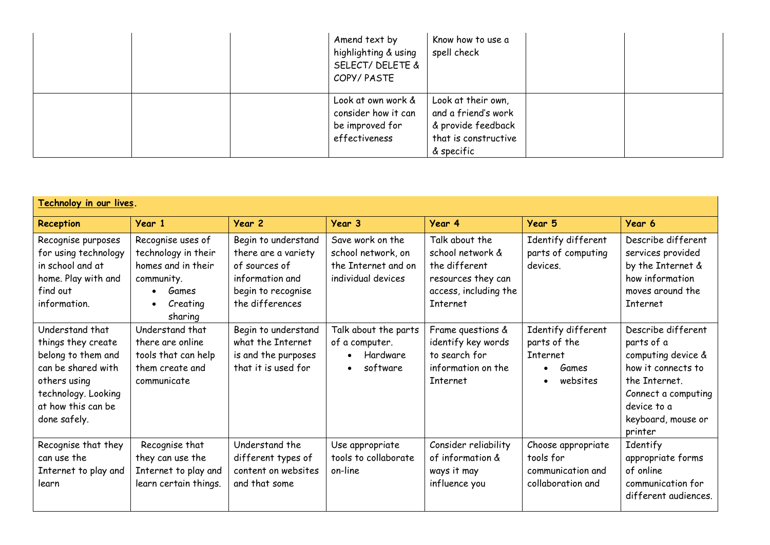|  | Amend text by<br>highlighting & using<br>SELECT/ DELETE &<br>COPY/PASTE       | Know how to use a<br>spell check                                                                      |  |
|--|-------------------------------------------------------------------------------|-------------------------------------------------------------------------------------------------------|--|
|  | Look at own work &<br>consider how it can<br>be improved for<br>effectiveness | Look at their own,<br>and a friend's work<br>& provide feedback<br>that is constructive<br>& specific |  |

| Technoloy in our lives.                                                                                                                                        |                                                                                                                           |                                                                                                                         |                                                                                          |                                                                                                                |                                                                           |                                                                                                                                                                      |
|----------------------------------------------------------------------------------------------------------------------------------------------------------------|---------------------------------------------------------------------------------------------------------------------------|-------------------------------------------------------------------------------------------------------------------------|------------------------------------------------------------------------------------------|----------------------------------------------------------------------------------------------------------------|---------------------------------------------------------------------------|----------------------------------------------------------------------------------------------------------------------------------------------------------------------|
| Reception                                                                                                                                                      | Year 1                                                                                                                    | Year 2                                                                                                                  | Year 3                                                                                   | Year 4                                                                                                         | Year 5                                                                    | Year 6                                                                                                                                                               |
| Recognise purposes<br>for using technology<br>in school and at<br>home. Play with and<br>find out<br>information.                                              | Recognise uses of<br>technology in their<br>homes and in their<br>community.<br>Games<br>Creating<br>$\bullet$<br>sharing | Begin to understand<br>there are a variety<br>of sources of<br>information and<br>begin to recognise<br>the differences | Save work on the<br>school network, on<br>the Internet and on<br>individual devices      | Talk about the<br>school network &<br>the different<br>resources they can<br>access, including the<br>Internet | Identify different<br>parts of computing<br>devices.                      | Describe different<br>services provided<br>by the Internet &<br>how information<br>moves around the<br>Internet                                                      |
| Understand that<br>things they create<br>belong to them and<br>can be shared with<br>others using<br>technology. Looking<br>at how this can be<br>done safely. | Understand that<br>there are online<br>tools that can help<br>them create and<br>communicate                              | Begin to understand<br>what the Internet<br>is and the purposes<br>that it is used for                                  | Talk about the parts<br>of a computer.<br>Hardware<br>$\bullet$<br>software<br>$\bullet$ | Frame questions &<br>identify key words<br>to search for<br>information on the<br><b>Internet</b>              | Identify different<br>parts of the<br>Internet<br>Games<br>websites       | Describe different<br>parts of a<br>computing device &<br>how it connects to<br>the Internet.<br>Connect a computing<br>device to a<br>keyboard, mouse or<br>printer |
| Recognise that they<br>can use the<br>Internet to play and<br>learn                                                                                            | Recognise that<br>they can use the<br>Internet to play and<br>learn certain things.                                       | Understand the<br>different types of<br>content on websites<br>and that some                                            | Use appropriate<br>tools to collaborate<br>on-line                                       | Consider reliability<br>of information &<br>ways it may<br>influence you                                       | Choose appropriate<br>tools for<br>communication and<br>collaboration and | Identify<br>appropriate forms<br>of online<br>communication for<br>different audiences.                                                                              |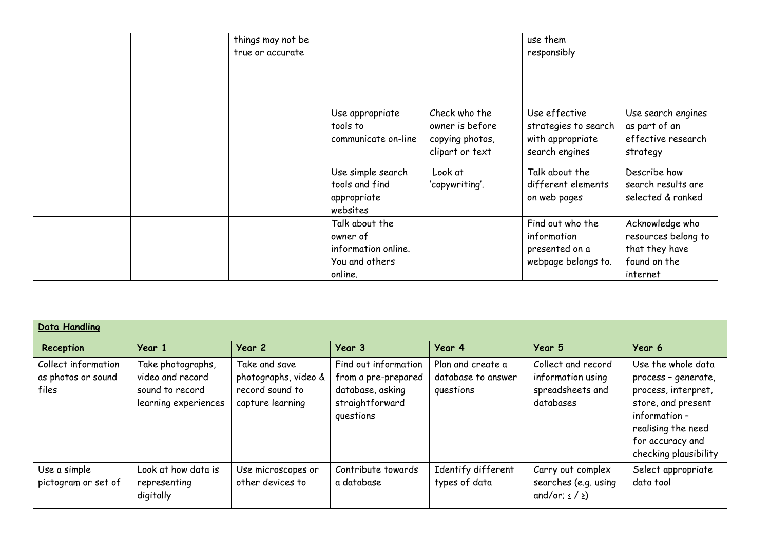|  | things may not be<br>true or accurate |                                                                                |                                                                        | use them<br>responsibly                                                     |                                                                                      |
|--|---------------------------------------|--------------------------------------------------------------------------------|------------------------------------------------------------------------|-----------------------------------------------------------------------------|--------------------------------------------------------------------------------------|
|  |                                       | Use appropriate<br>tools to<br>communicate on-line                             | Check who the<br>owner is before<br>copying photos,<br>clipart or text | Use effective<br>strategies to search<br>with appropriate<br>search engines | Use search engines<br>as part of an<br>effective research<br>strategy                |
|  |                                       | Use simple search<br>tools and find<br>appropriate<br>websites                 | Look at<br>'copywriting'.                                              | Talk about the<br>different elements<br>on web pages                        | Describe how<br>search results are<br>selected & ranked                              |
|  |                                       | Talk about the<br>owner of<br>information online.<br>You and others<br>online. |                                                                        | Find out who the<br>information<br>presented on a<br>webpage belongs to.    | Acknowledge who<br>resources belong to<br>that they have<br>found on the<br>internet |

| <b>Data Handling</b>                               |                                                                                  |                                                                              |                                                                                                 |                                                      |                                                                          |                                                                                                                                                                           |  |  |
|----------------------------------------------------|----------------------------------------------------------------------------------|------------------------------------------------------------------------------|-------------------------------------------------------------------------------------------------|------------------------------------------------------|--------------------------------------------------------------------------|---------------------------------------------------------------------------------------------------------------------------------------------------------------------------|--|--|
| Reception                                          | Year 1                                                                           | Year 2                                                                       | Year 3                                                                                          | Year 4                                               | Year 5                                                                   | Year 6                                                                                                                                                                    |  |  |
| Collect information<br>as photos or sound<br>files | Take photographs,<br>video and record<br>sound to record<br>learning experiences | Take and save<br>photographs, video &<br>record sound to<br>capture learning | Find out information<br>from a pre-prepared<br>database, asking<br>straightforward<br>questions | Plan and create a<br>database to answer<br>questions | Collect and record<br>information using<br>spreadsheets and<br>databases | Use the whole data<br>process - generate,<br>process, interpret,<br>store, and present<br>information-<br>realising the need<br>for accuracy and<br>checking plausibility |  |  |
| Use a simple<br>pictogram or set of                | Look at how data is<br>representing<br>digitally                                 | Use microscopes or<br>other devices to                                       | Contribute towards<br>a database                                                                | Identify different<br>types of data                  | Carry out complex<br>searches (e.g. using<br>and/or; $\leq$ / $\geq$ )   | Select appropriate<br>data tool                                                                                                                                           |  |  |